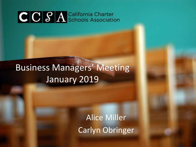## Business Managers' Meeting January 2019

Alice Miller Carlyn Obringer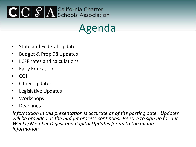Agenda

- State and Federal Updates
- Budget & Prop 98 Updates
- LCFF rates and calculations
- Early Education
- COI
- Other Updates
- Legislative Updates
- Workshops
- Deadlines

*Information in this presentation is accurate as of the posting date. Updates will be provided as the budget process continues. Be sure to sign up for our Weekly Member Digest and Capitol Updates for up to the minute information.*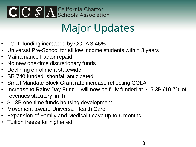## Major Updates

- LCFF funding increased by COLA 3.46%
- Universal Pre-School for all low income students within 3 years
- Maintenance Factor repaid
- No new one-time discretionary funds
- Declining enrollment statewide
- SB 740 funded, shortfall anticipated
- Small Mandate Block Grant rate increase reflecting COLA
- Increase to Rainy Day Fund will now be fully funded at \$15.3B (10.7% of revenues statutory limit)
- \$1.3B one time funds housing development
- Movement toward Universal Health Care
- Expansion of Family and Medical Leave up to 6 months
- Tuition freeze for higher ed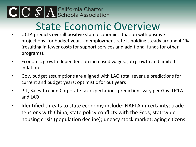## State Economic Overview

- UCLA predicts overall positive state economic situation with positive projections for budget year. Unemployment rate is holding steady around 4.1% (resulting in fewer costs for support services and additional funds for other programs).
- Economic growth dependent on increased wages, job growth and limited inflation
- Gov. budget assumptions are aligned with LAO total revenue predictions for current and budget years; optimistic for out years
- PIT, Sales Tax and Corporate tax expectations predictions vary per Gov, UCLA and LAO
- Identified threats to state economy include: NAFTA uncertainty; trade tensions with China; state policy conflicts with the Feds; statewide housing crisis (population decline); uneasy stock market; aging citizens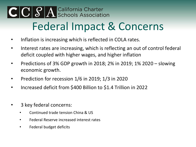# CCCSA California Charter Federal Impact & Concerns

- Inflation is increasing which is reflected in COLA rates.
- Interest rates are increasing, which is reflecting an out of control federal deficit coupled with higher wages, and higher inflation
- Predictions of 3% GDP growth in 2018; 2% in 2019; 1% 2020 slowing economic growth.
- Prediction for recession 1/6 in 2019; 1/3 in 2020
- Increased deficit from \$400 Billion to \$1.4 Trillion in 2022
- 3 key federal concerns:
	- Continued trade tension China & US
	- Federal Reserve increased interest rates
	- Federal budget deficits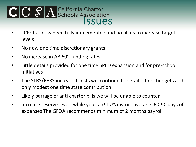# CCSA California Charter<br>
Schools Association<br>
SSUES

- LCFF has now been fully implemented and no plans to increase target levels
- No new one time discretionary grants
- No increase in AB 602 funding rates
- Little details provided for one time SPED expansion and for pre-school initiatives
- The STRS/PERS increased costs will continue to derail school budgets and only modest one time state contribution
- Likely barrage of anti charter bills we will be unable to counter
- Increase reserve levels while you can! 17% district average. 60-90 days of expenses The GFOA recommends minimum of 2 months payroll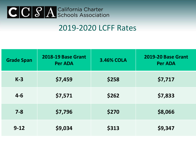#### 2019-2020 LCFF Rates

| <b>Grade Span</b> | 2018-19 Base Grant<br><b>Per ADA</b> | <b>3.46% COLA</b> | 2019-20 Base Grant<br><b>Per ADA</b> |
|-------------------|--------------------------------------|-------------------|--------------------------------------|
| $K-3$             | \$7,459                              | \$258             | \$7,717                              |
| $4 - 6$           | \$7,571                              | \$262             | \$7,833                              |
| $7 - 8$           | \$7,796                              | \$270             | \$8,066                              |
| $9 - 12$          | \$9,034                              | \$313             | \$9,347                              |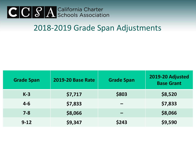#### 2018-2019 Grade Span Adjustments

| <b>Grade Span</b> | <b>2019-20 Base Rate</b> | <b>Grade Span</b> | 2019-20 Adjusted<br><b>Base Grant</b> |
|-------------------|--------------------------|-------------------|---------------------------------------|
| $K-3$             | \$7,717                  | \$803             | \$8,520                               |
| $4 - 6$           | \$7,833                  |                   | \$7,833                               |
| $7 - 8$           | \$8,066                  |                   | \$8,066                               |
| $9 - 12$          | \$9,347                  | \$243             | \$9,590                               |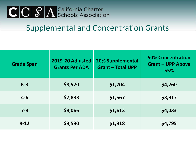#### Supplemental and Concentration Grants

| <b>Grade Span</b> | 2019-20 Adjusted<br><b>Grants Per ADA</b> | <b>20% Supplemental</b><br><b>Grant - Total UPP</b> | <b>50% Concentration</b><br><b>Grant - UPP Above</b><br>55% |
|-------------------|-------------------------------------------|-----------------------------------------------------|-------------------------------------------------------------|
| $K-3$             | \$8,520                                   | \$1,704                                             | \$4,260                                                     |
| $4 - 6$           | \$7,833                                   | \$1,567                                             | \$3,917                                                     |
| $7 - 8$           | \$8,066                                   | \$1,613                                             | \$4,033                                                     |
| $9 - 12$          | \$9,590                                   | \$1,918                                             | \$4,795                                                     |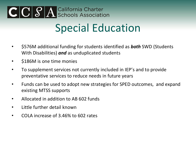## Special Education

- \$576M additional funding for students identified as *both* SWD (Students With Disabilities) *and* as unduplicated students
- **\$186M** is one time monies
- To supplement services not currently included in IEP's and to provide preventative services to reduce needs in future years
- Funds can be used to adopt new strategies for SPED outcomes, and expand existing MTSS supports
- Allocated in addition to AB 602 funds
- Little further detail known
- COLA increase of 3.46% to 602 rates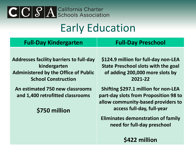## Early Education

| <b>Full-Day Kindergarten</b>                                                                                                                | <b>Full-Day Preschool</b>                                                                                                                                |
|---------------------------------------------------------------------------------------------------------------------------------------------|----------------------------------------------------------------------------------------------------------------------------------------------------------|
| <b>Addresses facility barriers to full-day</b><br>kindergarten<br><b>Administered by the Office of Public</b><br><b>School Construction</b> | \$124.9 million for full-day non-LEA<br><b>State Preschool slots with the goal</b><br>of adding 200,000 more slots by<br>2021-22                         |
| An estimated 750 new classrooms<br>and 1,400 retrofitted classrooms<br>\$750 million                                                        | <b>Shifting \$297.1 million for non-LEA</b><br>part-day slots from Proposition 98 to<br>allow community-based providers to<br>access full-day, full-year |
|                                                                                                                                             | <b>Eliminates demonstration of family</b>                                                                                                                |

**need for full-day preschool**

**\$422 million**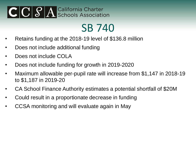## SB 740

- Retains funding at the 2018-19 level of \$136.8 million
- Does not include additional funding
- Does not include COLA
- Does not include funding for growth in 2019-2020
- Maximum allowable per-pupil rate will increase from \$1,147 in 2018-19 to \$1,187 in 2019-20
- CA School Finance Authority estimates a potential shortfall of \$20M
- Could result in a proportionate decrease in funding
- CCSA monitoring and will evaluate again in May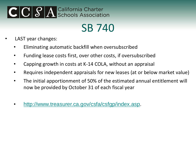## SB 740

- LAST year changes:
	- Eliminating automatic backfill when oversubscribed
	- Funding lease costs first, over other costs, if oversubscribed
	- Capping growth in costs at K-14 COLA, without an appraisal
	- Requires independent appraisals for new leases (at or below market value)
	- The initial apportionment of 50% of the estimated annual entitlement will now be provided by October 31 of each fiscal year
	- [http://www.treasurer.ca.gov/csfa/csfgp/index.asp.](http://www.treasurer.ca.gov/csfa/csfgp/index.asp)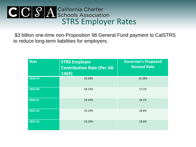# CCSA California Charter<br>Schools Association<br>STRS Employer Rates

\$3 billion one-time non-Proposition 98 General Fund payment to CalSTRS to reduce long-term liabilities for employers.

| <b>Year</b> | <b>STRS Employer</b><br><b>Contribution Rate (Per AB</b><br>$\overline{1}$ 469) | <b>Governor's Proposed</b><br><b>Revised Rate</b> |
|-------------|---------------------------------------------------------------------------------|---------------------------------------------------|
| 2018-19     | 16.28%                                                                          | 16.28%                                            |
| 2019-20     | 18.13%                                                                          | 17.1%                                             |
| 2020-21     | 19.10%                                                                          | 18.1%                                             |
| 2021-22     | 19.10%                                                                          | 18.6%                                             |
| 2022-23     | 19.10%                                                                          | 18.6%                                             |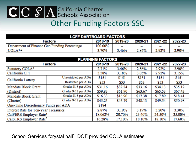## CCCSA California Charter Other Funding Factors SSC

| <b>LCFF DARTBOARD FACTORS</b>                              |         |       |       |       |         |
|------------------------------------------------------------|---------|-------|-------|-------|---------|
| 2021-22<br>2019-20<br>2018-19<br>2020-21<br><b>Factors</b> |         |       |       |       | 2022-23 |
| Department of Finance Gap Funding Percentage               | 100.00% | -     |       |       |         |
| COLA <sup>1,2</sup>                                        | 3.70%   | 3.46% | 2.86% | 2.92% | 2.90%   |

| <b>PLANNING FACTORS</b>                      |                      |         |         |         |         |         |
|----------------------------------------------|----------------------|---------|---------|---------|---------|---------|
|                                              | <b>Factors</b>       | 2018-19 | 2019-20 | 2020-21 | 2021-22 | 2022-23 |
| Statutory COLA <sup>3</sup>                  |                      | 2.71%   | 3.46%   | 2.86%   | 2.92%   | 2.90%   |
| California CPI                               |                      | 3.58%   | 3.18%   | 3.05%   | 2.92%   | 3.15%   |
| California Lottery                           | Unrestricted per ADA | \$151   | \$151   | \$151   | \$151   | \$151   |
|                                              | Restricted per ADA   | \$53    | \$53    | \$53    | \$53    | \$53    |
| Mandate Block Grant                          | Grades K-8 per ADA   | \$31.16 | \$32.24 | \$33.16 | \$34.13 | \$35.12 |
| (District)                                   | Grades 9-12 per ADA  | \$59.83 | \$61.90 | \$63.67 | \$65.53 | \$67.43 |
| Mandate Block Grant                          | Grades K-8 per ADA   | \$16.33 | \$16.90 | \$17.38 | \$17.89 | \$18.41 |
| (Charter)                                    | Grades 9-12 per ADA  | \$45.23 | \$46.79 | \$48.13 | \$49.54 | \$50.98 |
| One-Time Discretionary Funds per ADA         |                      | \$184   |         |         |         |         |
| <b>Interest Rate for Ten-Year Treasuries</b> |                      | 2.87%   | 3.19%   | 3.19%   | 3.20%   | 3.30%   |
| CalPERS Employer Rate <sup>4</sup>           |                      | 18.062% | 20.70%  | 23.40%  | 24.50%  | 25.00%  |
| CalSTRS Employer Rate <sup>5</sup>           |                      | 16.28%  | 17.10%  | 18.10%  | 18.10%  | 17.60%  |

#### School Services "crystal ball" DOF provided COLA estimates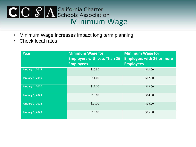# CCSA California Charter<br>
Schools Association<br>
Minimum Wage

- Minimum Wage increases impact long term planning
- Check local rates

| <b>Year</b>            | <b>Minimum Wage for</b><br><b>Employers with Less Than 26</b><br><b>Employees</b> | <b>Minimum Wage for</b><br><b>Employers with 26 or more</b><br><b>Employees</b> |
|------------------------|-----------------------------------------------------------------------------------|---------------------------------------------------------------------------------|
| <b>January 1, 2018</b> | \$10.50                                                                           | \$11.00                                                                         |
| January 1, 2019        | \$11.00                                                                           | \$12.00                                                                         |
| <b>January 1, 2020</b> | \$12.00                                                                           | \$13.00                                                                         |
| <b>January 1, 2021</b> | \$13.00                                                                           | \$14.00                                                                         |
| <b>January 1, 2022</b> | \$14.00                                                                           | \$15.00                                                                         |
| <b>January 1, 2023</b> | \$15.00                                                                           | \$15.00                                                                         |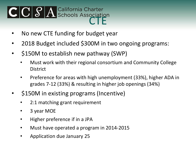- No new CTE funding for budget year
- 2018 Budget included \$300M in two ongoing programs:
- \$150M to establish new pathway (SWP)
	- Must work with their regional consortium and Community College **District**
	- Preference for areas with high unemployment (33%), higher ADA in grades 7-12 (33%) & resulting in higher job openings (34%)
- \$150M in existing programs (Incentive)
	- 2:1 matching grant requirement
	- 3 year MOE
	- Higher preference if in a JPA
	- Must have operated a program in 2014-2015
	- Application due January 25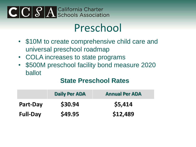## Preschool

- \$10M to create comprehensive child care and universal preschool roadmap
- COLA increases to state programs
- \$500M preschool facility bond measure 2020 ballot

#### **State Preschool Rates**

|                 | <b>Daily Per ADA</b> | <b>Annual Per ADA</b> |
|-----------------|----------------------|-----------------------|
| <b>Part-Day</b> | \$30.94              | \$5,414               |
| <b>Full-Day</b> | \$49.95              | \$12,489              |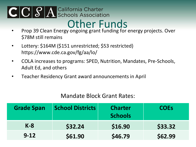## CCCSA California Charter Other Funds

- Prop 39 Clean Energy ongoing grant funding for energy projects. Over \$78M still remains
- Lottery: \$164M (\$151 unrestricted; \$53 restricted) https://www.cde.ca.gov/fg/aa/lo/
- COLA increases to programs: SPED, Nutrition, Mandates, Pre-Schools, Adult Ed, and others
- Teacher Residency Grant award announcements in April

#### Mandate Block Grant Rates:

| <b>Grade Span</b> | <b>School Districts</b> | <b>Charter</b><br><b>Schools</b> | <b>COEs</b> |
|-------------------|-------------------------|----------------------------------|-------------|
| $K-8$             | \$32.24                 | \$16.90                          | \$33.32     |
| $9 - 12$          | \$61.90                 | \$46.79                          | \$62.99     |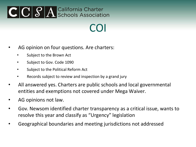## COI

- AG opinion on four questions. Are charters:
	- Subject to the Brown Act
	- Subject to Gov. Code 1090
	- Subject to the Political Reform Act
	- Records subject to review and inspection by a grand jury
- All answered yes. Charters are public schools and local governmental entities and exemptions not covered under Mega Waiver.
- AG opinions not law.
- Gov. Newsom identified charter transparency as a critical issue, wants to resolve this year and classify as "Urgency" legislation
- Geographical boundaries and meeting jurisdictions not addressed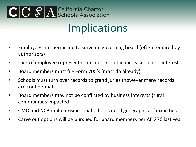## Implications

- Employees not permitted to serve on governing board (often required by authorizers)
- Lack of employee representation could result in increased union interest
- Board members must file Form 700's (most do already)
- Schools must turn over records to grand juries (however many records are confidential)
- Board members may not be conflicted by business interests (rural communities impacted)
- CMO and NCB multi jurisdictional schools need geographical flexibilities
- Carve out options will be pursued for board members per AB 276 last year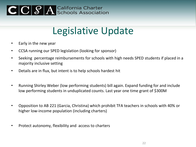## Legislative Update

- Early in the new year
- CCSA running our SPED legislation (looking for sponsor)
- Seeking percentage reimbursements for schools with high needs SPED students if placed in a majority inclusive setting
- Details are in flux, but intent is to help schools hardest hit
- Running Shirley Weber (low performing students) bill again. Expand funding for and include low performing students in unduplicated counts. Last year one time grant of \$300M
- Opposition to AB 221 (Garcia, Christina) which prohibit TFA teachers in schools with 40% or higher low-income population (including charters)
- Protect autonomy, flexibility and access to charters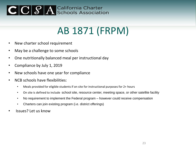## AB 1871 (FRPM)

- New charter school requirement
- May be a challenge to some schools
- One nutritionally balanced meal per instructional day
- Compliance by July 1, 2019
- New schools have one year for compliance
- NCB schools have flexibilities:
	- Meals provided for eligible students if on site for instructional purposes for 2+ hours
	- On site is defined to include school site, resource center, meeting space, or other satellite facility
	- No requirement to implement the Federal program however could receive compensation
	- Charters can join existing program (i.e. district offerings)
- Issues? Let us know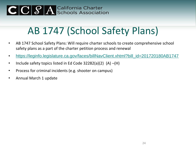## AB 1747 (School Safety Plans)

- AB 1747 School Safety Plans: Will require charter schools to create comprehensive school safety plans as a part of the charter petition process and renewal
- [https://leginfo.legislature.ca.gov/faces/billNavClient.xhtml?bill\\_id=201720180AB1747](https://leginfo.legislature.ca.gov/faces/billNavClient.xhtml?bill_id=201720180AB1747)
- Include safety topics listed in Ed Code 32282(a)(2) (A) –(H)
- Process for criminal incidents (e.g. shooter on campus)
- Annual March 1 update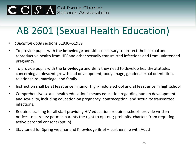## AB 2601 (Sexual Health Education)

- *Education Code* sections 51930–51939
- To provide pupils with the **knowledge** and **skills** necessary to protect their sexual and reproductive health from HIV and other sexually transmitted infections and from unintended pregnancy.
- To provide pupils with the **knowledge** and **skills** they need to develop healthy attitudes concerning adolescent growth and development, body image, gender, sexual orientation, relationships, marriage, and family
- Instruction shall be **at least once** in junior high/middle school and **at least once** in high school
- Comprehensive sexual health education" means education regarding human development and sexuality, including education on pregnancy, contraception, and sexuality transmitted infections.
- Requires training for all staff providing HIV education; requires schools provide written notices to parents; permits parents the right to opt out; prohibits charters from requiring active parental consent (opt in)
- Stay tuned for Spring webinar and Knowledge Brief partnership with ACLU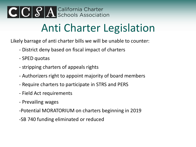

## Anti Charter Legislation

Likely barrage of anti charter bills we will be unable to counter:

- District deny based on fiscal impact of charters
- SPED quotas
- stripping charters of appeals rights
- Authorizers right to appoint majority of board members
- Require charters to participate in STRS and PERS
- Field Act requirements
- Prevailing wages
- -Potential MORATORIUM on charters beginning in 2019
- -SB 740 funding eliminated or reduced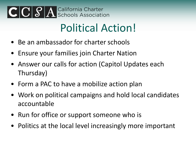## Political Action!

- Be an ambassador for charter schools
- Ensure your families join Charter Nation
- Answer our calls for action (Capitol Updates each Thursday)
- Form a PAC to have a mobilize action plan
- Work on political campaigns and hold local candidates accountable
- Run for office or support someone who is
- Politics at the local level increasingly more important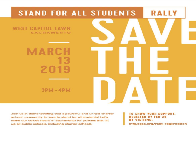

Join us in demonstrating that a powerful and united charter school community is here to stand for all students! Let's make our voices heard in Sacramento for policies that lift up all public schools, including charter schools.

**TO SHOW YOUR SUPPORT, REGISTER BY FEB 25 BY VISITING:** 

info.ccsa.org/rally-registration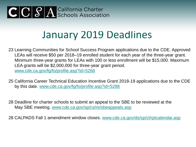### January 2019 Deadlines

- 23 Learning Communities for School Success Program applications due to the CDE. Approved LEAs will receive \$50 per 2018–19 enrolled student for each year of the three-year grant. Minimum three-year grants for LEAs with 100 or less enrollment will be \$15,000. Maximum LEA grants will be \$2,000,000 for three-year grant period. [www.cde.ca.gov/fg/fo/profile.asp?id=5266](http://www.cde.ca.gov/fg/fo/profile.asp?id=5266)
- 25 California Career Technical Education Incentive Grant 2018-19 applications due to the CDE by this date. [www.cde.ca.gov/fg/fo/profile.asp?id=5288](http://www.cde.ca.gov/fg/fo/profile.asp?id=5288)
- 28 Deadline for charter schools to submit an appeal to the SBE to be reviewed at the May SBE meeting. [www.cde.ca.gov/sp/cs/re/sbeappeals.asp](http://www.cde.ca.gov/sp/cs/re/sbeappeals.asp)
- 28 CALPADS Fall 1 amendment window closes. [www.cde.ca.gov/ds/sp/cl/rptcalendar.asp](http://www.cde.ca.gov/ds/sp/cl/rptcalendar.asp)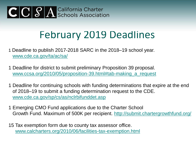## February 2019 Deadlines

- 1 Deadline to publish 2017-2018 SARC in the 2018–19 school year. [www.cde.ca.gov/ta/ac/sa/](http://www.cde.ca.gov/ta/ac/sa/)
- 1 Deadline for district to submit preliminary Proposition 39 proposal. [www.ccsa.org/2010/05/proposition-39.html#tab-making\\_a\\_request](http://www.ccsa.org/2010/05/proposition-39.html#tab-making_a_request)
- 1 Deadline for continuing schools with funding determinations that expire at the end of 2018–19 to submit a funding determination request to the CDE. [www.cde.ca.gov/sp/cs/as/nclrbifunddet.asp](http://www.cde.ca.gov/sp/cs/as/nclrbifunddet.asp)
- 1 Emerging CMO Fund applications due to the Charter School Growth Fund. Maximum of 500K per recipient. <http://submit.chartergrowthfund.org/>
- 15 Tax exemption form due to county tax assessor office. [www.calcharters.org/2010/06/facilities-tax-exemption.html](http://www.calcharters.org/2010/06/facilities-tax-exemption.html)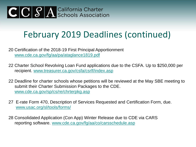### February 2019 Deadlines (continued)

20 Certification of the 2018-19 First Principal Apportionment [www.cde.ca.gov/fg/aa/pa/ataglance1819.pdf](http://www.cde.ca.gov/fg/aa/pa/ataglance1819.pdf)

- 22 Charter School Revolving Loan Fund applications due to the CSFA. Up to \$250,000 per recipient. [www.treasurer.ca.gov/csfa/csrlf/index.asp](http://www.treasurer.ca.gov/csfa/csrlf/index.asp)
- 22 Deadline for charter schools whose petitions will be reviewed at the May SBE meeting to submit their Charter Submission Packages to the CDE. [www.cde.ca.gov/sp/cs/re/chrterpkg.asp](http://www.cde.ca.gov/sp/cs/re/chrterpkg.asp)
- 27 E-rate Form 470, Description of Services Requested and Certification Form, due. [www.usac.org/sl/tools/forms/](http://www.usac.org/sl/tools/forms/)
- 28 Consolidated Application (Con App) Winter Release due to CDE via CARS reporting software. [www.cde.ca.gov/fg/aa/co/carsschedule.asp](http://www.cde.ca.gov/fg/aa/co/carsschedule.asp)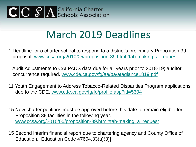

### March 2019 Deadlines

- 1 Deadline for a charter school to respond to a district's preliminary Proposition 39 proposal. [www.ccsa.org/2010/05/proposition-39.html#tab-making\\_a\\_request](http://www.ccsa.org/2010/05/proposition-39.html#tab-making_a_request)
- 1 Audit Adjustments to CALPADS data due for all years prior to 2018-19; auditor concurrence required. [www.cde.ca.gov/fg/aa/pa/ataglance1819.pdf](http://www.cde.ca.gov/fg/aa/pa/ataglance1819.pdf)
- 11 Youth Engagement to Address Tobacco-Related Disparities Program applications due to the CDE. [www.cde.ca.gov/fg/fo/profile.asp?id=5304](http://www.cde.ca.gov/fg/fo/profile.asp?id=5304)
- 15 New charter petitions must be approved before this date to remain eligible for Proposition 39 facilities in the following year. [www.ccsa.org/2010/05/proposition-39.html#tab-making\\_a\\_request](http://www.ccsa.org/2010/05/proposition-39.html#tab-making_a_request)
- 15 Second interim financial report due to chartering agency and County Office of Education. Education Code 47604.33(a)(3)]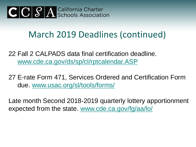

#### March 2019 Deadlines (continued)

22 Fall 2 CALPADS data final certification deadline. [www.cde.ca.gov/ds/sp/cl/rptcalendar.ASP](http://www.cde.ca.gov/ds/sp/cl/rptcalendar.ASP)

27 E-rate Form 471, Services Ordered and Certification Form due. [www.usac.org/sl/tools/forms/](http://www.usac.org/sl/tools/forms/)

Late month Second 2018-2019 quarterly lottery apportionment expected from the state. [www.cde.ca.gov/fg/aa/lo/](http://www.cde.ca.gov/fg/aa/lo/)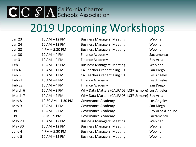# CCCSA California Charter 2019 Upcoming Workshops

| Jan 23        | $10$ AM $-$ 12 PM  | <b>Business Managers' Meeting</b>                   | Webinar           |
|---------------|--------------------|-----------------------------------------------------|-------------------|
| Jan 24        | $10$ AM $-$ 12 PM  | <b>Business Managers' Meeting</b>                   | Webinar           |
| <b>Jan 28</b> | 4 PM - 5:30 PM     | <b>Business Managers' Meeting</b>                   | Webinar           |
| Jan 30        | $10$ AM $-$ 4 PM   | <b>Finance Academy</b>                              | Sacramento        |
| Jan 31        | $10 AM - 4 PM$     | <b>Finance Academy</b>                              | Bay Area          |
| Feb 1         | $10$ AM $-$ 12 PM  | <b>Business Managers' Meeting</b>                   | Webinar           |
| Feb 4         | $10$ AM $-$ 1 PM   | CA Teacher Credentialing 101                        | San Diego         |
| Feb 5         | $10$ AM $-$ 1 PM   | CA Teacher Credentialing 101                        | Los Angeles       |
| Feb 21        | $10$ AM $-$ 4 PM   | <b>Finance Academy</b>                              | Los Angeles       |
| Feb 22        | $10$ AM $-$ 4 PM   | <b>Finance Academy</b>                              | San Diego         |
| March 6       | $10 AM - 2 PM$     | Why Data Matters (CALPADS, LCFF & more) Los Angeles |                   |
| March 7       | $10 AM - 2 PM$     | Why Data Matters (CALPADS, LCFF & more) Bay Area    |                   |
| May 8         | 10:30 AM - 1:30 PM | Governance Academy                                  | Los Angeles       |
| May 9         | $10 AM - 1 PM$     | Governance Academy                                  | San Diego         |
| <b>TBD</b>    | $10 AM - 2 PM$     | <b>Governance Academy</b>                           | Bay Area & online |
| <b>TBD</b>    | $6 PM - 9 PM$      | <b>Governance Academy</b>                           | Sacramento        |
| May 29        | $10$ AM $-$ 12 PM  | <b>Business Managers' Meeting</b>                   | Webinar           |
| May 30        | $10$ AM $-$ 12 PM  | <b>Business Managers' Meeting</b>                   | Webinar           |
| June 4        | 4 PM - 5:30 PM     | <b>Business Managers' Meeting</b>                   | Webinar           |
| June 5        | $10$ AM $-$ 12 PM  | <b>Business Managers' Meeting</b>                   | Webinar           |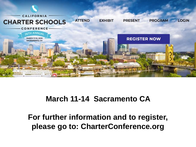

#### **March 11-14 Sacramento CA**

**For further information and to register, please go to: CharterConference.org**